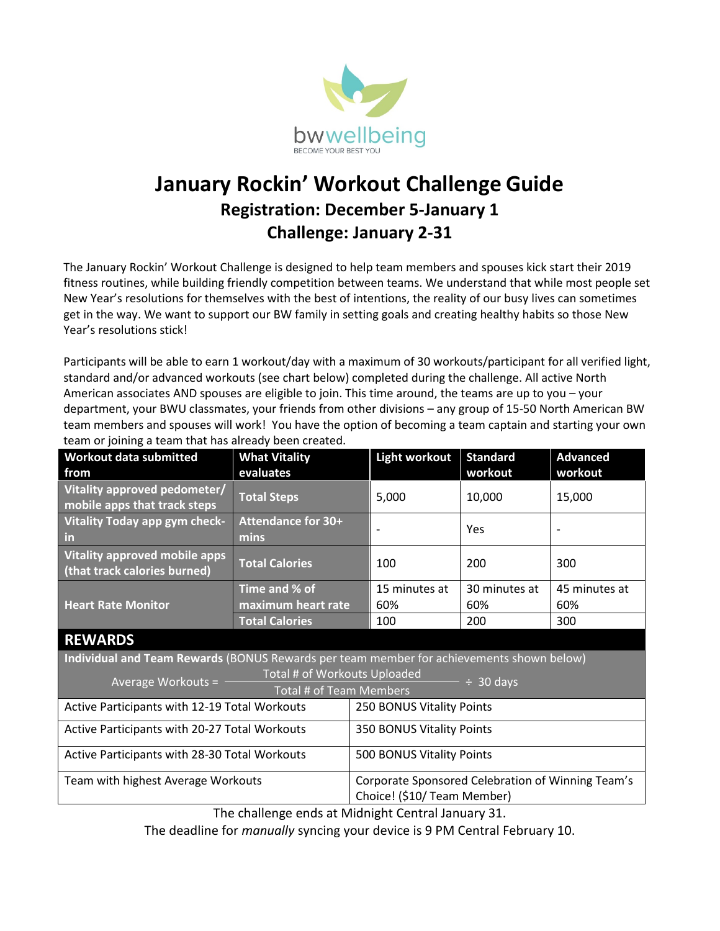

# **January Rockin' Workout Challenge Guide Registration: December 5-January 1 Challenge: January 2-31**

The January Rockin' Workout Challenge is designed to help team members and spouses kick start their 2019 fitness routines, while building friendly competition between teams. We understand that while most people set New Year's resolutions for themselves with the best of intentions, the reality of our busy lives can sometimes get in the way. We want to support our BW family in setting goals and creating healthy habits so those New Year's resolutions stick!

Participants will be able to earn 1 workout/day with a maximum of 30 workouts/participant for all verified light, standard and/or advanced workouts (see chart below) completed during the challenge. All active North American associates AND spouses are eligible to join. This time around, the teams are up to you – your department, your BWU classmates, your friends from other divisions – any group of 15-50 North American BW team members and spouses will work! You have the option of becoming a team captain and starting your own team or joining a team that has already been created.

| <b>Workout data submitted</b>                                                                        | <b>What Vitality</b>       | <b>Light workout</b>        | <b>Standard</b>                                   | <b>Advanced</b> |  |
|------------------------------------------------------------------------------------------------------|----------------------------|-----------------------------|---------------------------------------------------|-----------------|--|
| from                                                                                                 | evaluates                  |                             | workout                                           | workout         |  |
| Vitality approved pedometer/<br>mobile apps that track steps                                         | <b>Total Steps</b>         | 5,000                       | 10,000                                            | 15,000          |  |
| <b>Vitality Today app gym check-</b><br><u>in</u>                                                    | Attendance for 30+<br>mins |                             | Yes                                               |                 |  |
| <b>Vitality approved mobile apps</b><br>(that track calories burned)                                 | <b>Total Calories</b>      | 100                         | 200                                               | 300             |  |
| <b>Heart Rate Monitor</b>                                                                            | Time and % of              | 15 minutes at               | 30 minutes at                                     | 45 minutes at   |  |
|                                                                                                      | maximum heart rate         | 60%                         | 60%                                               | 60%             |  |
|                                                                                                      | <b>Total Calories</b>      | 100                         | 200                                               | 300             |  |
| <b>REWARDS</b>                                                                                       |                            |                             |                                                   |                 |  |
| Individual and Team Rewards (BONUS Rewards per team member for achievements shown below)             |                            |                             |                                                   |                 |  |
| Total # of Workouts Uploaded<br>Average Workouts = $-$<br>$ \div$ 30 days<br>Total # of Team Members |                            |                             |                                                   |                 |  |
| Active Participants with 12-19 Total Workouts                                                        |                            | 250 BONUS Vitality Points   |                                                   |                 |  |
| Active Participants with 20-27 Total Workouts                                                        |                            |                             | 350 BONUS Vitality Points                         |                 |  |
| Active Participants with 28-30 Total Workouts                                                        |                            |                             | 500 BONUS Vitality Points                         |                 |  |
| Team with highest Average Workouts                                                                   |                            |                             | Corporate Sponsored Celebration of Winning Team's |                 |  |
|                                                                                                      |                            | Choice! (\$10/ Team Member) |                                                   |                 |  |

The challenge ends at Midnight Central January 31.

The deadline for *manually* syncing your device is 9 PM Central February 10.